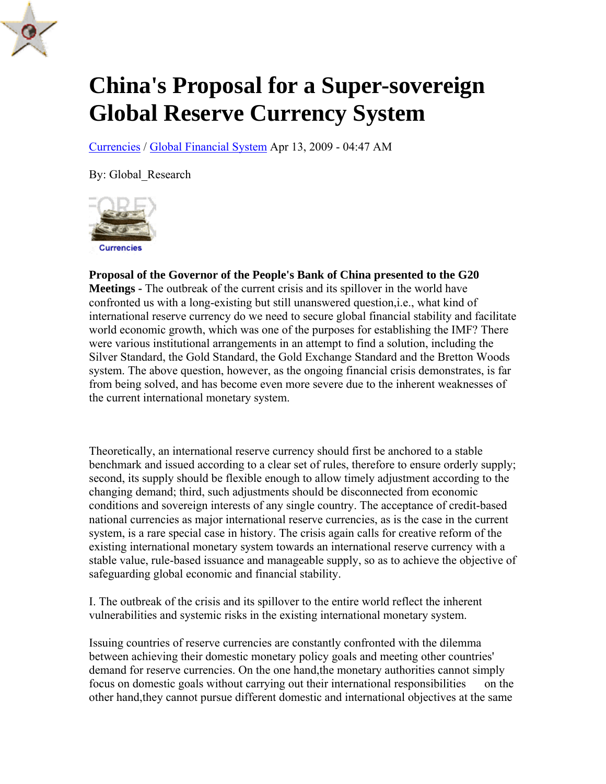## **China's Proposal for a Super-sovereign Global Reserve Currency System**

Currencies / Global Financial System Apr 13, 2009 - 04:47 AM

By: Global\_Research



**Proposal of the Governor of the People's Bank of China presented to the G20 Meetings -** The outbreak of the current crisis and its spillover in the world have confronted us with a long-existing but still unanswered question,i.e., what kind of international reserve currency do we need to secure global financial stability and facilitate world economic growth, which was one of the purposes for establishing the IMF? There were various institutional arrangements in an attempt to find a solution, including the Silver Standard, the Gold Standard, the Gold Exchange Standard and the Bretton Woods system. The above question, however, as the ongoing financial crisis demonstrates, is far from being solved, and has become even more severe due to the inherent weaknesses of the current international monetary system.

Theoretically, an international reserve currency should first be anchored to a stable benchmark and issued according to a clear set of rules, therefore to ensure orderly supply; second, its supply should be flexible enough to allow timely adjustment according to the changing demand; third, such adjustments should be disconnected from economic conditions and sovereign interests of any single country. The acceptance of credit-based national currencies as major international reserve currencies, as is the case in the current system, is a rare special case in history. The crisis again calls for creative reform of the existing international monetary system towards an international reserve currency with a stable value, rule-based issuance and manageable supply, so as to achieve the objective of safeguarding global economic and financial stability.

I. The outbreak of the crisis and its spillover to the entire world reflect the inherent vulnerabilities and systemic risks in the existing international monetary system.

Issuing countries of reserve currencies are constantly confronted with the dilemma between achieving their domestic monetary policy goals and meeting other countries' demand for reserve currencies. On the one hand,the monetary authorities cannot simply focus on domestic goals without carrying out their international responsibilities on the other hand,they cannot pursue different domestic and international objectives at the same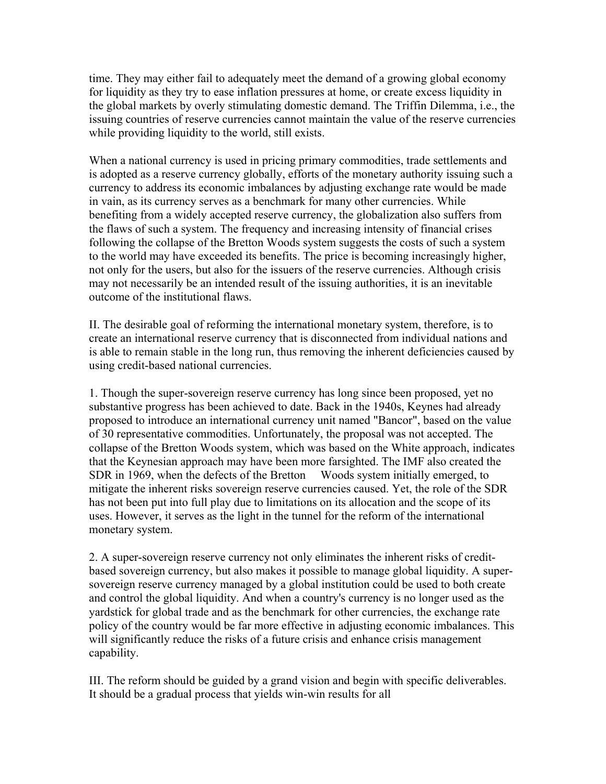time. They may either fail to adequately meet the demand of a growing global economy for liquidity as they try to ease inflation pressures at home, or create excess liquidity in the global markets by overly stimulating domestic demand. The Triffin Dilemma, i.e., the issuing countries of reserve currencies cannot maintain the value of the reserve currencies while providing liquidity to the world, still exists.

When a national currency is used in pricing primary commodities, trade settlements and is adopted as a reserve currency globally, efforts of the monetary authority issuing such a currency to address its economic imbalances by adjusting exchange rate would be made in vain, as its currency serves as a benchmark for many other currencies. While benefiting from a widely accepted reserve currency, the globalization also suffers from the flaws of such a system. The frequency and increasing intensity of financial crises following the collapse of the Bretton Woods system suggests the costs of such a system to the world may have exceeded its benefits. The price is becoming increasingly higher, not only for the users, but also for the issuers of the reserve currencies. Although crisis may not necessarily be an intended result of the issuing authorities, it is an inevitable outcome of the institutional flaws.

II. The desirable goal of reforming the international monetary system, therefore, is to create an international reserve currency that is disconnected from individual nations and is able to remain stable in the long run, thus removing the inherent deficiencies caused by using credit-based national currencies.

1. Though the super-sovereign reserve currency has long since been proposed, yet no substantive progress has been achieved to date. Back in the 1940s, Keynes had already proposed to introduce an international currency unit named "Bancor", based on the value of 30 representative commodities. Unfortunately, the proposal was not accepted. The collapse of the Bretton Woods system, which was based on the White approach, indicates that the Keynesian approach may have been more farsighted. The IMF also created the SDR in 1969, when the defects of the Bretton Woods system initially emerged, to mitigate the inherent risks sovereign reserve currencies caused. Yet, the role of the SDR has not been put into full play due to limitations on its allocation and the scope of its uses. However, it serves as the light in the tunnel for the reform of the international monetary system.

2. A super-sovereign reserve currency not only eliminates the inherent risks of creditbased sovereign currency, but also makes it possible to manage global liquidity. A supersovereign reserve currency managed by a global institution could be used to both create and control the global liquidity. And when a country's currency is no longer used as the yardstick for global trade and as the benchmark for other currencies, the exchange rate policy of the country would be far more effective in adjusting economic imbalances. This will significantly reduce the risks of a future crisis and enhance crisis management capability.

III. The reform should be guided by a grand vision and begin with specific deliverables. It should be a gradual process that yields win-win results for all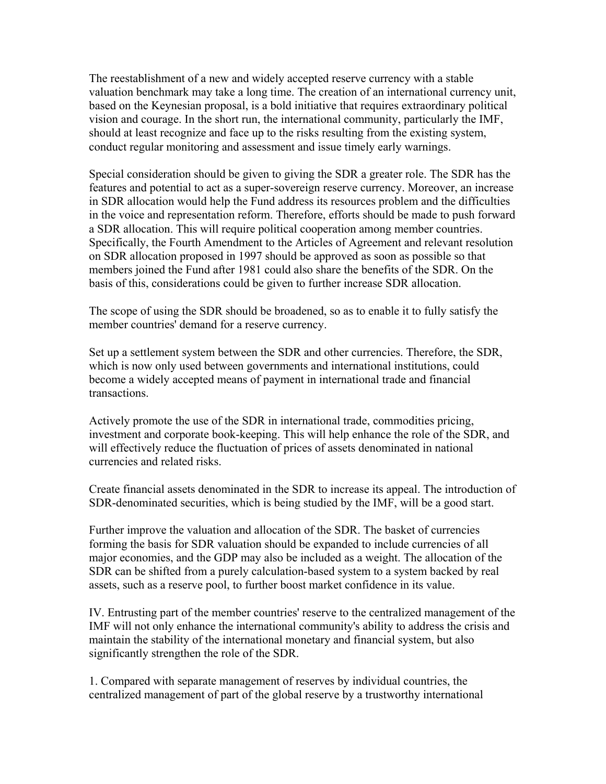The reestablishment of a new and widely accepted reserve currency with a stable valuation benchmark may take a long time. The creation of an international currency unit, based on the Keynesian proposal, is a bold initiative that requires extraordinary political vision and courage. In the short run, the international community, particularly the IMF, should at least recognize and face up to the risks resulting from the existing system, conduct regular monitoring and assessment and issue timely early warnings.

Special consideration should be given to giving the SDR a greater role. The SDR has the features and potential to act as a super-sovereign reserve currency. Moreover, an increase in SDR allocation would help the Fund address its resources problem and the difficulties in the voice and representation reform. Therefore, efforts should be made to push forward a SDR allocation. This will require political cooperation among member countries. Specifically, the Fourth Amendment to the Articles of Agreement and relevant resolution on SDR allocation proposed in 1997 should be approved as soon as possible so that members joined the Fund after 1981 could also share the benefits of the SDR. On the basis of this, considerations could be given to further increase SDR allocation.

The scope of using the SDR should be broadened, so as to enable it to fully satisfy the member countries' demand for a reserve currency.

Set up a settlement system between the SDR and other currencies. Therefore, the SDR, which is now only used between governments and international institutions, could become a widely accepted means of payment in international trade and financial transactions.

Actively promote the use of the SDR in international trade, commodities pricing, investment and corporate book-keeping. This will help enhance the role of the SDR, and will effectively reduce the fluctuation of prices of assets denominated in national currencies and related risks.

Create financial assets denominated in the SDR to increase its appeal. The introduction of SDR-denominated securities, which is being studied by the IMF, will be a good start.

Further improve the valuation and allocation of the SDR. The basket of currencies forming the basis for SDR valuation should be expanded to include currencies of all major economies, and the GDP may also be included as a weight. The allocation of the SDR can be shifted from a purely calculation-based system to a system backed by real assets, such as a reserve pool, to further boost market confidence in its value.

IV. Entrusting part of the member countries' reserve to the centralized management of the IMF will not only enhance the international community's ability to address the crisis and maintain the stability of the international monetary and financial system, but also significantly strengthen the role of the SDR.

1. Compared with separate management of reserves by individual countries, the centralized management of part of the global reserve by a trustworthy international